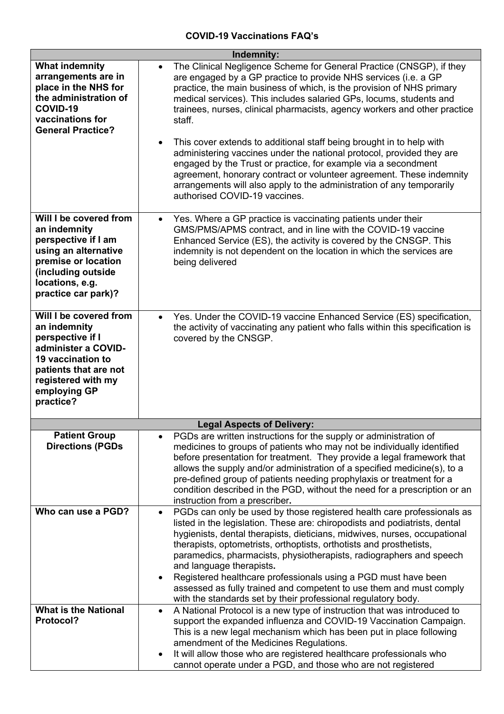## **COVID-19 Vaccinations FAQ's**

|                                                                                                                                                                                    | Indemnity:                                                                                                                                                                                                                                                                                                                                                                                                                                                                                                                                                                                                                                      |
|------------------------------------------------------------------------------------------------------------------------------------------------------------------------------------|-------------------------------------------------------------------------------------------------------------------------------------------------------------------------------------------------------------------------------------------------------------------------------------------------------------------------------------------------------------------------------------------------------------------------------------------------------------------------------------------------------------------------------------------------------------------------------------------------------------------------------------------------|
| <b>What indemnity</b><br>arrangements are in<br>place in the NHS for<br>the administration of<br>COVID-19<br>vaccinations for<br><b>General Practice?</b>                          | The Clinical Negligence Scheme for General Practice (CNSGP), if they<br>٠<br>are engaged by a GP practice to provide NHS services (i.e. a GP<br>practice, the main business of which, is the provision of NHS primary<br>medical services). This includes salaried GPs, locums, students and<br>trainees, nurses, clinical pharmacists, agency workers and other practice<br>staff.<br>This cover extends to additional staff being brought in to help with<br>$\bullet$                                                                                                                                                                        |
|                                                                                                                                                                                    | administering vaccines under the national protocol, provided they are<br>engaged by the Trust or practice, for example via a secondment<br>agreement, honorary contract or volunteer agreement. These indemnity<br>arrangements will also apply to the administration of any temporarily<br>authorised COVID-19 vaccines.                                                                                                                                                                                                                                                                                                                       |
| Will I be covered from<br>an indemnity<br>perspective if I am<br>using an alternative<br>premise or location<br>(including outside<br>locations, e.g.<br>practice car park)?       | Yes. Where a GP practice is vaccinating patients under their<br>$\bullet$<br>GMS/PMS/APMS contract, and in line with the COVID-19 vaccine<br>Enhanced Service (ES), the activity is covered by the CNSGP. This<br>indemnity is not dependent on the location in which the services are<br>being delivered                                                                                                                                                                                                                                                                                                                                       |
| Will I be covered from<br>an indemnity<br>perspective if I<br>administer a COVID-<br>19 vaccination to<br>patients that are not<br>registered with my<br>employing GP<br>practice? | Yes. Under the COVID-19 vaccine Enhanced Service (ES) specification,<br>$\bullet$<br>the activity of vaccinating any patient who falls within this specification is<br>covered by the CNSGP.                                                                                                                                                                                                                                                                                                                                                                                                                                                    |
|                                                                                                                                                                                    | <b>Legal Aspects of Delivery:</b>                                                                                                                                                                                                                                                                                                                                                                                                                                                                                                                                                                                                               |
| <b>Patient Group</b><br><b>Directions (PGDs</b>                                                                                                                                    | PGDs are written instructions for the supply or administration of<br>medicines to groups of patients who may not be individually identified<br>before presentation for treatment. They provide a legal framework that<br>allows the supply and/or administration of a specified medicine(s), to a<br>pre-defined group of patients needing prophylaxis or treatment for a<br>condition described in the PGD, without the need for a prescription or an<br>instruction from a prescriber.                                                                                                                                                        |
| Who can use a PGD?                                                                                                                                                                 | PGDs can only be used by those registered health care professionals as<br>$\bullet$<br>listed in the legislation. These are: chiropodists and podiatrists, dental<br>hygienists, dental therapists, dieticians, midwives, nurses, occupational<br>therapists, optometrists, orthoptists, orthotists and prosthetists,<br>paramedics, pharmacists, physiotherapists, radiographers and speech<br>and language therapists.<br>Registered healthcare professionals using a PGD must have been<br>$\bullet$<br>assessed as fully trained and competent to use them and must comply<br>with the standards set by their professional regulatory body. |
| <b>What is the National</b><br>Protocol?                                                                                                                                           | A National Protocol is a new type of instruction that was introduced to<br>$\bullet$<br>support the expanded influenza and COVID-19 Vaccination Campaign.<br>This is a new legal mechanism which has been put in place following<br>amendment of the Medicines Regulations.<br>It will allow those who are registered healthcare professionals who<br>$\bullet$<br>cannot operate under a PGD, and those who are not registered                                                                                                                                                                                                                 |